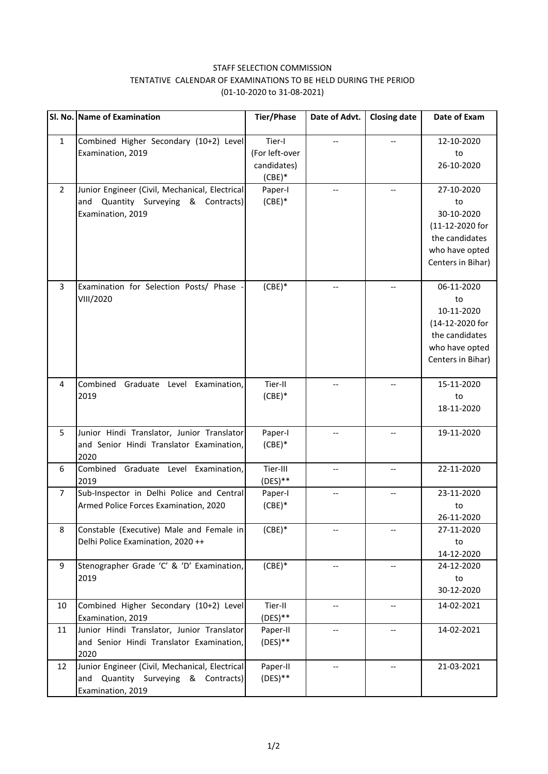## STAFF SELECTION COMMISSION TENTATIVE CALENDAR OF EXAMINATIONS TO BE HELD DURING THE PERIOD (01-10-2020 to 31-08-2021)

|                | Sl. No. Name of Examination                                                                                   | <b>Tier/Phase</b>                                   | Date of Advt. | <b>Closing date</b> | Date of Exam                                                                                               |
|----------------|---------------------------------------------------------------------------------------------------------------|-----------------------------------------------------|---------------|---------------------|------------------------------------------------------------------------------------------------------------|
| $\mathbf{1}$   | Combined Higher Secondary (10+2) Level<br>Examination, 2019                                                   | Tier-I<br>(For left-over<br>candidates)<br>$(CBE)*$ |               |                     | 12-10-2020<br>to<br>26-10-2020                                                                             |
| $\overline{2}$ | Junior Engineer (Civil, Mechanical, Electrical<br>and Quantity Surveying & Contracts)<br>Examination, 2019    | Paper-I<br>$(CBE)*$                                 |               | $-$                 | 27-10-2020<br>to<br>30-10-2020<br>(11-12-2020 for<br>the candidates<br>who have opted<br>Centers in Bihar) |
| 3              | Examination for Selection Posts/ Phase<br>VIII/2020                                                           | $(CBE)*$                                            |               | --                  | 06-11-2020<br>to<br>10-11-2020<br>(14-12-2020 for<br>the candidates<br>who have opted<br>Centers in Bihar) |
| 4              | Combined<br>Graduate Level Examination,<br>2019                                                               | Tier-II<br>$(CBE)*$                                 |               | --                  | 15-11-2020<br>to<br>18-11-2020                                                                             |
| 5              | Junior Hindi Translator, Junior Translator<br>and Senior Hindi Translator Examination,<br>2020                | Paper-I<br>$(CBE)*$                                 |               |                     | 19-11-2020                                                                                                 |
| 6              | Combined Graduate Level Examination,<br>2019                                                                  | Tier-III<br>$(DES)**$                               |               | --                  | 22-11-2020                                                                                                 |
| $\overline{7}$ | Sub-Inspector in Delhi Police and Central<br>Armed Police Forces Examination, 2020                            | Paper-I<br>$(CBE)*$                                 |               |                     | 23-11-2020<br>to<br>26-11-2020                                                                             |
| 8              | Constable (Executive) Male and Female in<br>Delhi Police Examination, 2020 ++                                 | $(CBE)*$                                            |               |                     | 27-11-2020<br>to<br>14-12-2020                                                                             |
| 9              | Stenographer Grade 'C' & 'D' Examination,<br>2019                                                             | $(CBE)*$                                            |               | --                  | 24-12-2020<br>to<br>30-12-2020                                                                             |
| 10             | Combined Higher Secondary (10+2) Level<br>Examination, 2019                                                   | Tier-II<br>$(DES)**$                                | --            | --                  | 14-02-2021                                                                                                 |
| 11             | Junior Hindi Translator, Junior Translator<br>and Senior Hindi Translator Examination,<br>2020                | Paper-II<br>$(DES)**$                               | --            | $-$                 | 14-02-2021                                                                                                 |
| 12             | Junior Engineer (Civil, Mechanical, Electrical<br>Quantity Surveying & Contracts)<br>and<br>Examination, 2019 | Paper-II<br>$(DES)**$                               |               | --                  | 21-03-2021                                                                                                 |